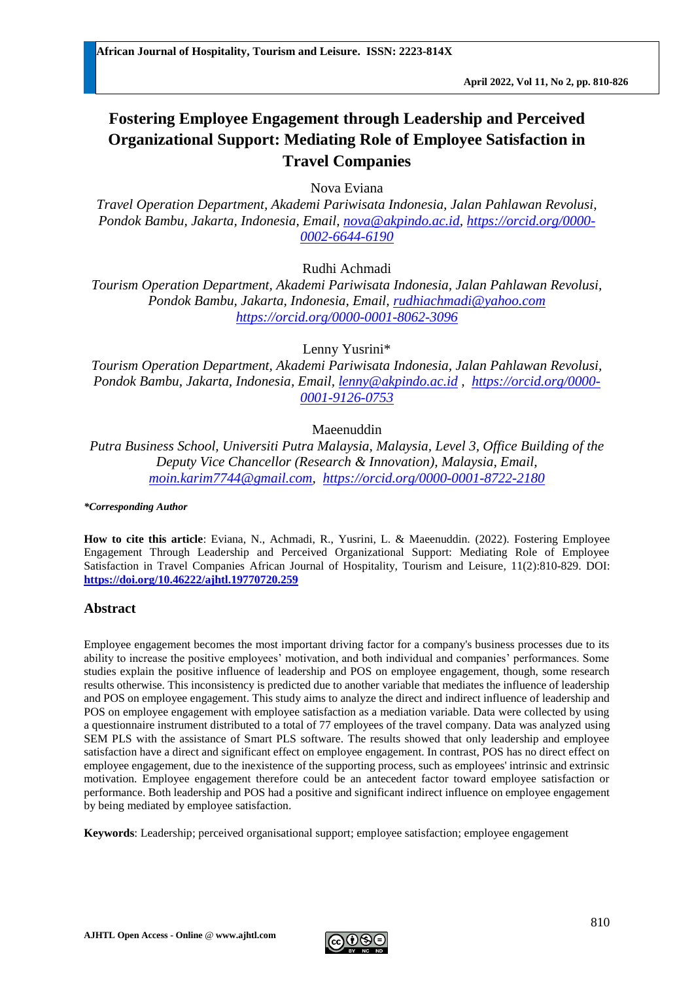# **Fostering Employee Engagement through Leadership and Perceived Organizational Support: Mediating Role of Employee Satisfaction in Travel Companies**

Nova Eviana

*Travel Operation Department, Akademi Pariwisata Indonesia, Jalan Pahlawan Revolusi, Pondok Bambu, Jakarta, Indonesia, Email, [nova@akpindo.ac.id,](mailto:nova@akpindo.ac.id) [https://orcid.org/0000-](https://orcid.org/0000-0002-6644-6190) [0002-6644-6190](https://orcid.org/0000-0002-6644-6190)*

Rudhi Achmadi

*Tourism Operation Department, Akademi Pariwisata Indonesia, Jalan Pahlawan Revolusi, Pondok Bambu, Jakarta, Indonesia, Email, [rudhiachmadi@yahoo.com](mailto:rudhiachmadi@yahoo.com) <https://orcid.org/0000-0001-8062-3096>*

Lenny Yusrini\*

*Tourism Operation Department, Akademi Pariwisata Indonesia, Jalan Pahlawan Revolusi, Pondok Bambu, Jakarta, Indonesia, Email, [lenny@akpindo.ac.id](mailto:lenny@akpindo.ac.id) , [https://orcid.org/0000-](https://orcid.org/0000-0001-9126-0753) [0001-9126-0753](https://orcid.org/0000-0001-9126-0753)* 

# Maeenuddin

*Putra Business School, Universiti Putra Malaysia, Malaysia, Level 3, Office Building of the Deputy Vice Chancellor (Research & Innovation), Malaysia, Email, [moin.karim7744@gmail.com,](mailto:moin.karim7744@gmail.com) <https://orcid.org/0000-0001-8722-2180>*

*\*Corresponding Author*

**How to cite this article**: Eviana, N., Achmadi, R., Yusrini, L. & Maeenuddin. (2022). Fostering Employee Engagement Through Leadership and Perceived Organizational Support: Mediating Role of Employee Satisfaction in Travel Companies African Journal of Hospitality, Tourism and Leisure, 11(2):810-829. DOI: **<https://doi.org/10.46222/ajhtl.19770720.259>**

# **Abstract**

Employee engagement becomes the most important driving factor for a company's business processes due to its ability to increase the positive employees' motivation, and both individual and companies' performances. Some studies explain the positive influence of leadership and POS on employee engagement, though, some research results otherwise. This inconsistency is predicted due to another variable that mediates the influence of leadership and POS on employee engagement. This study aims to analyze the direct and indirect influence of leadership and POS on employee engagement with employee satisfaction as a mediation variable. Data were collected by using a questionnaire instrument distributed to a total of 77 employees of the travel company. Data was analyzed using SEM PLS with the assistance of Smart PLS software. The results showed that only leadership and employee satisfaction have a direct and significant effect on employee engagement. In contrast, POS has no direct effect on employee engagement, due to the inexistence of the supporting process, such as employees' intrinsic and extrinsic motivation. Employee engagement therefore could be an antecedent factor toward employee satisfaction or performance. Both leadership and POS had a positive and significant indirect influence on employee engagement by being mediated by employee satisfaction.

**Keywords**: Leadership; perceived organisational support; employee satisfaction; employee engagement

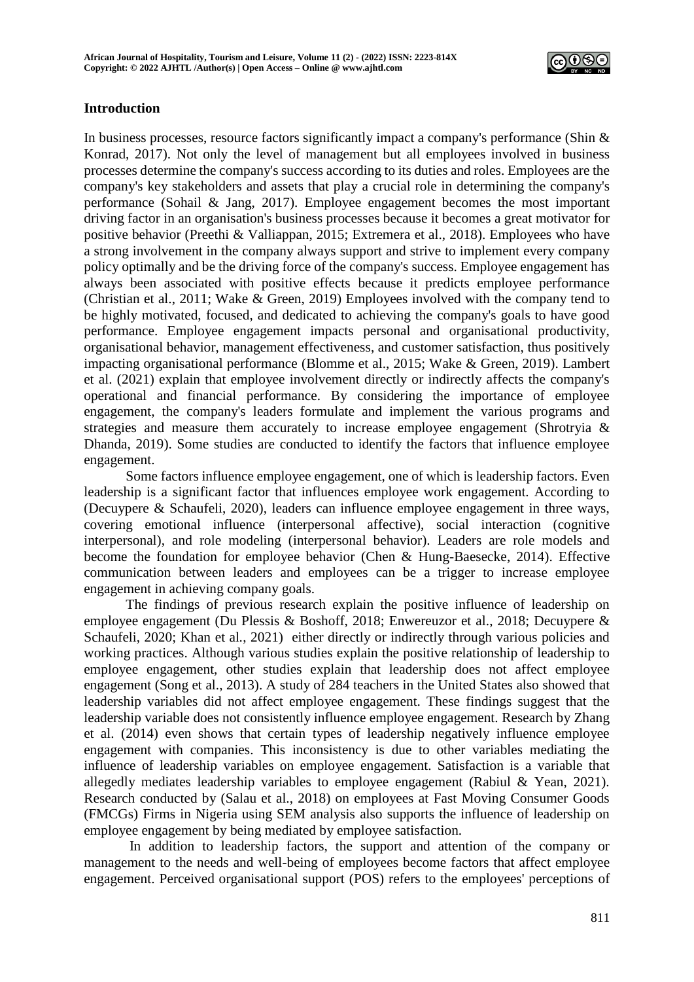

# **Introduction**

In business processes, resource factors significantly impact a company's performance (Shin  $\&$ Konrad, 2017). Not only the level of management but all employees involved in business processes determine the company's success according to its duties and roles. Employees are the company's key stakeholders and assets that play a crucial role in determining the company's performance (Sohail & Jang, 2017). Employee engagement becomes the most important driving factor in an organisation's business processes because it becomes a great motivator for positive behavior (Preethi & Valliappan, 2015; Extremera et al., 2018). Employees who have a strong involvement in the company always support and strive to implement every company policy optimally and be the driving force of the company's success. Employee engagement has always been associated with positive effects because it predicts employee performance (Christian et al., 2011; Wake & Green, 2019) Employees involved with the company tend to be highly motivated, focused, and dedicated to achieving the company's goals to have good performance. Employee engagement impacts personal and organisational productivity, organisational behavior, management effectiveness, and customer satisfaction, thus positively impacting organisational performance (Blomme et al., 2015; Wake & Green, 2019). Lambert et al. (2021) explain that employee involvement directly or indirectly affects the company's operational and financial performance. By considering the importance of employee engagement, the company's leaders formulate and implement the various programs and strategies and measure them accurately to increase employee engagement (Shrotryia & Dhanda, 2019). Some studies are conducted to identify the factors that influence employee engagement.

Some factors influence employee engagement, one of which is leadership factors. Even leadership is a significant factor that influences employee work engagement. According to (Decuypere & Schaufeli, 2020), leaders can influence employee engagement in three ways, covering emotional influence (interpersonal affective), social interaction (cognitive interpersonal), and role modeling (interpersonal behavior). Leaders are role models and become the foundation for employee behavior (Chen & Hung-Baesecke, 2014). Effective communication between leaders and employees can be a trigger to increase employee engagement in achieving company goals.

The findings of previous research explain the positive influence of leadership on employee engagement (Du Plessis & Boshoff, 2018; Enwereuzor et al., 2018; Decuypere & Schaufeli, 2020; Khan et al., 2021) either directly or indirectly through various policies and working practices. Although various studies explain the positive relationship of leadership to employee engagement, other studies explain that leadership does not affect employee engagement (Song et al., 2013). A study of 284 teachers in the United States also showed that leadership variables did not affect employee engagement. These findings suggest that the leadership variable does not consistently influence employee engagement. Research by Zhang et al. (2014) even shows that certain types of leadership negatively influence employee engagement with companies. This inconsistency is due to other variables mediating the influence of leadership variables on employee engagement. Satisfaction is a variable that allegedly mediates leadership variables to employee engagement (Rabiul & Yean, 2021). Research conducted by (Salau et al., 2018) on employees at Fast Moving Consumer Goods (FMCGs) Firms in Nigeria using SEM analysis also supports the influence of leadership on employee engagement by being mediated by employee satisfaction.

In addition to leadership factors, the support and attention of the company or management to the needs and well-being of employees become factors that affect employee engagement. Perceived organisational support (POS) refers to the employees' perceptions of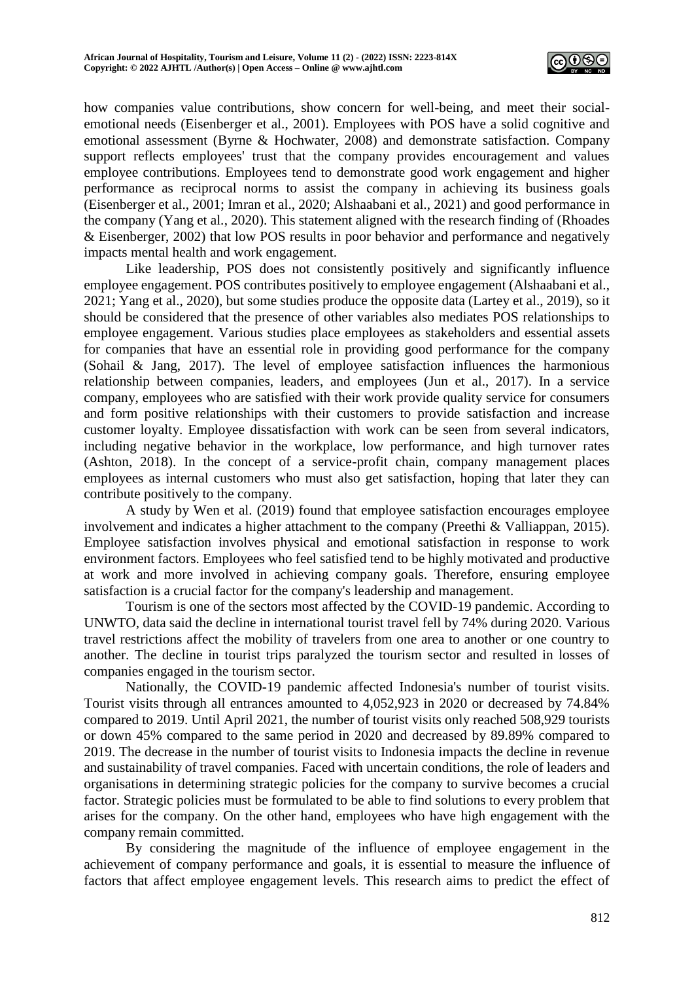

how companies value contributions, show concern for well-being, and meet their socialemotional needs (Eisenberger et al., 2001). Employees with POS have a solid cognitive and emotional assessment (Byrne & Hochwater, 2008) and demonstrate satisfaction. Company support reflects employees' trust that the company provides encouragement and values employee contributions. Employees tend to demonstrate good work engagement and higher performance as reciprocal norms to assist the company in achieving its business goals (Eisenberger et al., 2001; Imran et al., 2020; Alshaabani et al., 2021) and good performance in the company (Yang et al., 2020). This statement aligned with the research finding of (Rhoades & Eisenberger, 2002) that low POS results in poor behavior and performance and negatively impacts mental health and work engagement.

Like leadership, POS does not consistently positively and significantly influence employee engagement. POS contributes positively to employee engagement (Alshaabani et al., 2021; Yang et al., 2020), but some studies produce the opposite data (Lartey et al., 2019), so it should be considered that the presence of other variables also mediates POS relationships to employee engagement. Various studies place employees as stakeholders and essential assets for companies that have an essential role in providing good performance for the company (Sohail & Jang, 2017). The level of employee satisfaction influences the harmonious relationship between companies, leaders, and employees (Jun et al., 2017). In a service company, employees who are satisfied with their work provide quality service for consumers and form positive relationships with their customers to provide satisfaction and increase customer loyalty. Employee dissatisfaction with work can be seen from several indicators, including negative behavior in the workplace, low performance, and high turnover rates (Ashton, 2018). In the concept of a service-profit chain, company management places employees as internal customers who must also get satisfaction, hoping that later they can contribute positively to the company.

A study by Wen et al. (2019) found that employee satisfaction encourages employee involvement and indicates a higher attachment to the company (Preethi & Valliappan, 2015). Employee satisfaction involves physical and emotional satisfaction in response to work environment factors. Employees who feel satisfied tend to be highly motivated and productive at work and more involved in achieving company goals. Therefore, ensuring employee satisfaction is a crucial factor for the company's leadership and management.

Tourism is one of the sectors most affected by the COVID-19 pandemic. According to UNWTO, data said the decline in international tourist travel fell by 74% during 2020. Various travel restrictions affect the mobility of travelers from one area to another or one country to another. The decline in tourist trips paralyzed the tourism sector and resulted in losses of companies engaged in the tourism sector.

Nationally, the COVID-19 pandemic affected Indonesia's number of tourist visits. Tourist visits through all entrances amounted to 4,052,923 in 2020 or decreased by 74.84% compared to 2019. Until April 2021, the number of tourist visits only reached 508,929 tourists or down 45% compared to the same period in 2020 and decreased by 89.89% compared to 2019. The decrease in the number of tourist visits to Indonesia impacts the decline in revenue and sustainability of travel companies. Faced with uncertain conditions, the role of leaders and organisations in determining strategic policies for the company to survive becomes a crucial factor. Strategic policies must be formulated to be able to find solutions to every problem that arises for the company. On the other hand, employees who have high engagement with the company remain committed.

By considering the magnitude of the influence of employee engagement in the achievement of company performance and goals, it is essential to measure the influence of factors that affect employee engagement levels. This research aims to predict the effect of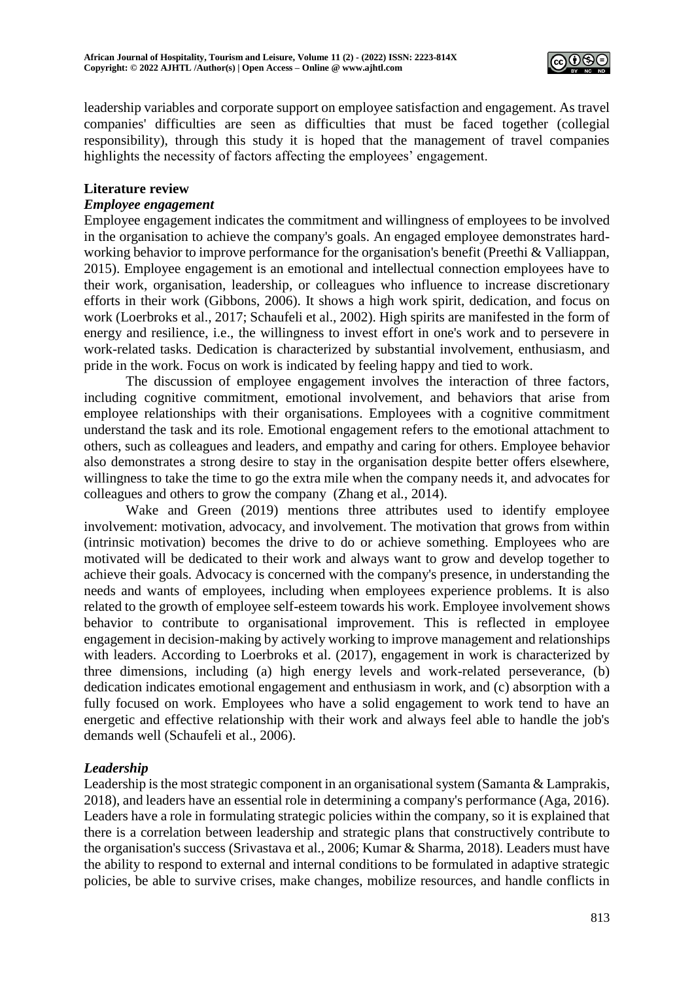

leadership variables and corporate support on employee satisfaction and engagement. As travel companies' difficulties are seen as difficulties that must be faced together (collegial responsibility), through this study it is hoped that the management of travel companies highlights the necessity of factors affecting the employees' engagement.

### **Literature review**

### *Employee engagement*

Employee engagement indicates the commitment and willingness of employees to be involved in the organisation to achieve the company's goals. An engaged employee demonstrates hardworking behavior to improve performance for the organisation's benefit (Preethi & Valliappan, 2015). Employee engagement is an emotional and intellectual connection employees have to their work, organisation, leadership, or colleagues who influence to increase discretionary efforts in their work (Gibbons, 2006). It shows a high work spirit, dedication, and focus on work (Loerbroks et al., 2017; Schaufeli et al., 2002). High spirits are manifested in the form of energy and resilience, i.e., the willingness to invest effort in one's work and to persevere in work-related tasks. Dedication is characterized by substantial involvement, enthusiasm, and pride in the work. Focus on work is indicated by feeling happy and tied to work.

The discussion of employee engagement involves the interaction of three factors, including cognitive commitment, emotional involvement, and behaviors that arise from employee relationships with their organisations. Employees with a cognitive commitment understand the task and its role. Emotional engagement refers to the emotional attachment to others, such as colleagues and leaders, and empathy and caring for others. Employee behavior also demonstrates a strong desire to stay in the organisation despite better offers elsewhere, willingness to take the time to go the extra mile when the company needs it, and advocates for colleagues and others to grow the company (Zhang et al*.*, 2014).

Wake and Green (2019) mentions three attributes used to identify employee involvement: motivation, advocacy, and involvement. The motivation that grows from within (intrinsic motivation) becomes the drive to do or achieve something. Employees who are motivated will be dedicated to their work and always want to grow and develop together to achieve their goals. Advocacy is concerned with the company's presence, in understanding the needs and wants of employees, including when employees experience problems. It is also related to the growth of employee self-esteem towards his work. Employee involvement shows behavior to contribute to organisational improvement. This is reflected in employee engagement in decision-making by actively working to improve management and relationships with leaders. According to Loerbroks et al. (2017), engagement in work is characterized by three dimensions, including (a) high energy levels and work-related perseverance, (b) dedication indicates emotional engagement and enthusiasm in work, and (c) absorption with a fully focused on work. Employees who have a solid engagement to work tend to have an energetic and effective relationship with their work and always feel able to handle the job's demands well (Schaufeli et al., 2006).

# *Leadership*

Leadership is the most strategic component in an organisational system (Samanta & Lamprakis, 2018), and leaders have an essential role in determining a company's performance (Aga, 2016). Leaders have a role in formulating strategic policies within the company, so it is explained that there is a correlation between leadership and strategic plans that constructively contribute to the organisation's success (Srivastava et al., 2006; Kumar & Sharma, 2018). Leaders must have the ability to respond to external and internal conditions to be formulated in adaptive strategic policies, be able to survive crises, make changes, mobilize resources, and handle conflicts in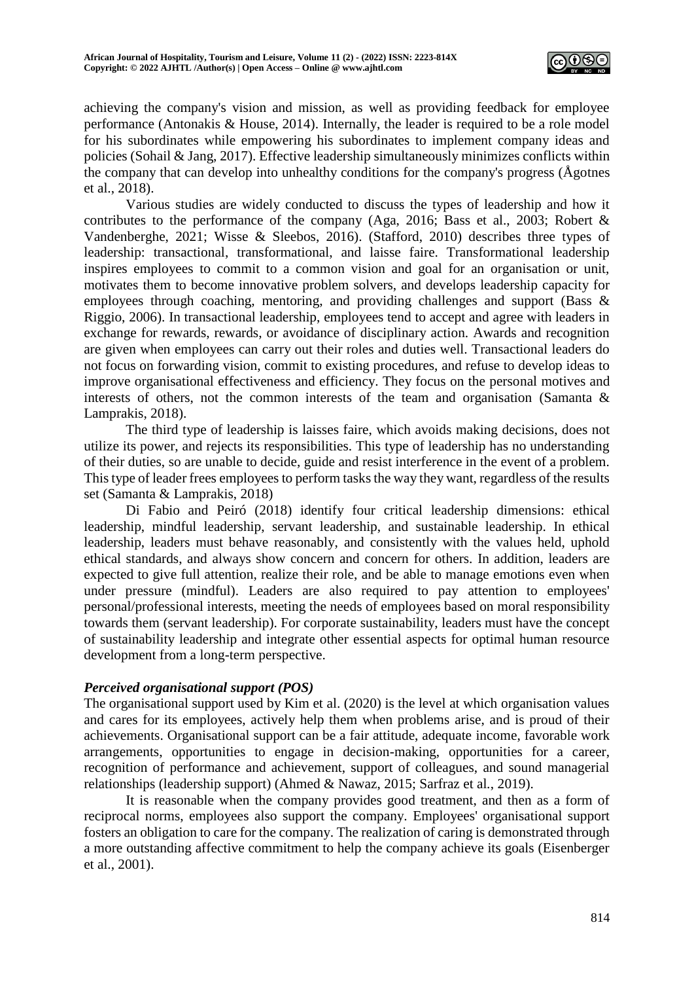

achieving the company's vision and mission, as well as providing feedback for employee performance (Antonakis & House, 2014). Internally, the leader is required to be a role model for his subordinates while empowering his subordinates to implement company ideas and policies (Sohail  $\&$  Jang, 2017). Effective leadership simultaneously minimizes conflicts within the company that can develop into unhealthy conditions for the company's progress (Ågotnes et al., 2018).

Various studies are widely conducted to discuss the types of leadership and how it contributes to the performance of the company (Aga, 2016; Bass et al., 2003; Robert & Vandenberghe, 2021; Wisse & Sleebos, 2016). (Stafford, 2010) describes three types of leadership: transactional, transformational, and laisse faire. Transformational leadership inspires employees to commit to a common vision and goal for an organisation or unit, motivates them to become innovative problem solvers, and develops leadership capacity for employees through coaching, mentoring, and providing challenges and support (Bass & Riggio, 2006). In transactional leadership, employees tend to accept and agree with leaders in exchange for rewards, rewards, or avoidance of disciplinary action. Awards and recognition are given when employees can carry out their roles and duties well. Transactional leaders do not focus on forwarding vision, commit to existing procedures, and refuse to develop ideas to improve organisational effectiveness and efficiency. They focus on the personal motives and interests of others, not the common interests of the team and organisation (Samanta & Lamprakis, 2018).

The third type of leadership is laisses faire, which avoids making decisions, does not utilize its power, and rejects its responsibilities. This type of leadership has no understanding of their duties, so are unable to decide, guide and resist interference in the event of a problem. This type of leader frees employees to perform tasks the way they want, regardless of the results set (Samanta & Lamprakis, 2018)

Di Fabio and Peiró (2018) identify four critical leadership dimensions: ethical leadership, mindful leadership, servant leadership, and sustainable leadership. In ethical leadership, leaders must behave reasonably, and consistently with the values held, uphold ethical standards, and always show concern and concern for others. In addition, leaders are expected to give full attention, realize their role, and be able to manage emotions even when under pressure (mindful). Leaders are also required to pay attention to employees' personal/professional interests, meeting the needs of employees based on moral responsibility towards them (servant leadership). For corporate sustainability, leaders must have the concept of sustainability leadership and integrate other essential aspects for optimal human resource development from a long-term perspective.

# *Perceived organisational support (POS)*

The organisational support used by Kim et al. (2020) is the level at which organisation values and cares for its employees, actively help them when problems arise, and is proud of their achievements. Organisational support can be a fair attitude, adequate income, favorable work arrangements, opportunities to engage in decision-making, opportunities for a career, recognition of performance and achievement, support of colleagues, and sound managerial relationships (leadership support) (Ahmed & Nawaz, 2015; Sarfraz et al*.*, 2019).

It is reasonable when the company provides good treatment, and then as a form of reciprocal norms, employees also support the company. Employees' organisational support fosters an obligation to care for the company. The realization of caring is demonstrated through a more outstanding affective commitment to help the company achieve its goals (Eisenberger et al., 2001).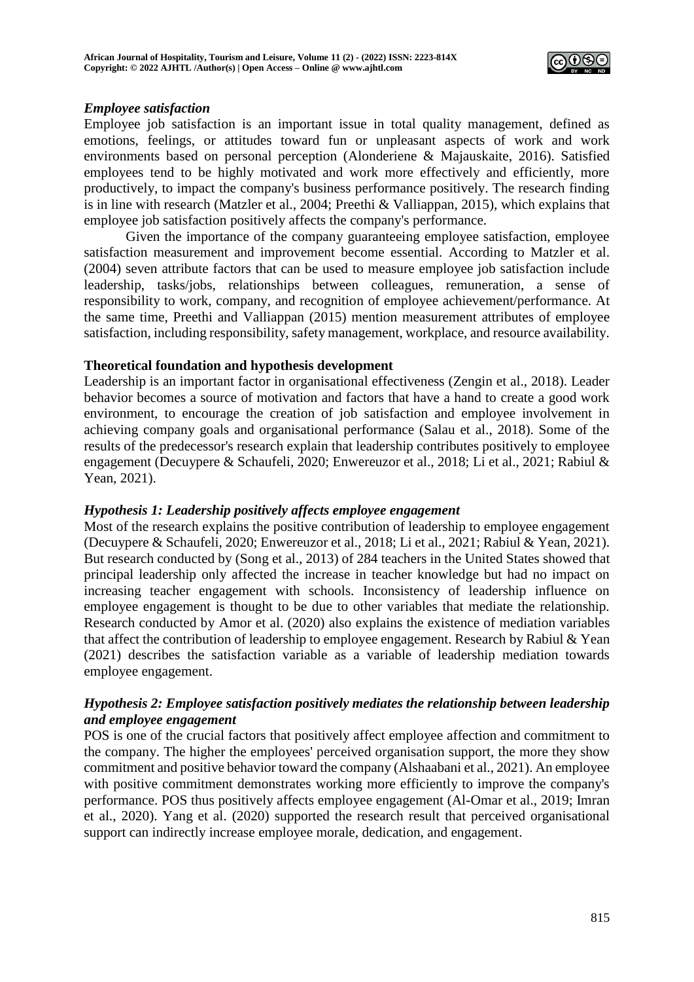

### *Employee satisfaction*

Employee job satisfaction is an important issue in total quality management, defined as emotions, feelings, or attitudes toward fun or unpleasant aspects of work and work environments based on personal perception (Alonderiene & Majauskaite, 2016). Satisfied employees tend to be highly motivated and work more effectively and efficiently, more productively, to impact the company's business performance positively. The research finding is in line with research (Matzler et al., 2004; Preethi & Valliappan, 2015), which explains that employee job satisfaction positively affects the company's performance.

Given the importance of the company guaranteeing employee satisfaction, employee satisfaction measurement and improvement become essential. According to Matzler et al. (2004) seven attribute factors that can be used to measure employee job satisfaction include leadership, tasks/jobs, relationships between colleagues, remuneration, a sense of responsibility to work, company, and recognition of employee achievement/performance. At the same time, Preethi and Valliappan (2015) mention measurement attributes of employee satisfaction, including responsibility, safety management, workplace, and resource availability.

### **Theoretical foundation and hypothesis development**

Leadership is an important factor in organisational effectiveness (Zengin et al., 2018). Leader behavior becomes a source of motivation and factors that have a hand to create a good work environment, to encourage the creation of job satisfaction and employee involvement in achieving company goals and organisational performance (Salau et al., 2018). Some of the results of the predecessor's research explain that leadership contributes positively to employee engagement (Decuypere & Schaufeli, 2020; Enwereuzor et al., 2018; Li et al., 2021; Rabiul & Yean, 2021).

# *Hypothesis 1: Leadership positively affects employee engagement*

Most of the research explains the positive contribution of leadership to employee engagement (Decuypere & Schaufeli, 2020; Enwereuzor et al., 2018; Li et al., 2021; Rabiul & Yean, 2021). But research conducted by (Song et al., 2013) of 284 teachers in the United States showed that principal leadership only affected the increase in teacher knowledge but had no impact on increasing teacher engagement with schools. Inconsistency of leadership influence on employee engagement is thought to be due to other variables that mediate the relationship. Research conducted by Amor et al. (2020) also explains the existence of mediation variables that affect the contribution of leadership to employee engagement. Research by Rabiul & Yean (2021) describes the satisfaction variable as a variable of leadership mediation towards employee engagement.

# *Hypothesis 2: Employee satisfaction positively mediates the relationship between leadership and employee engagement*

POS is one of the crucial factors that positively affect employee affection and commitment to the company. The higher the employees' perceived organisation support, the more they show commitment and positive behavior toward the company (Alshaabani et al., 2021). An employee with positive commitment demonstrates working more efficiently to improve the company's performance. POS thus positively affects employee engagement (Al-Omar et al., 2019; Imran et al., 2020). Yang et al. (2020) supported the research result that perceived organisational support can indirectly increase employee morale, dedication, and engagement.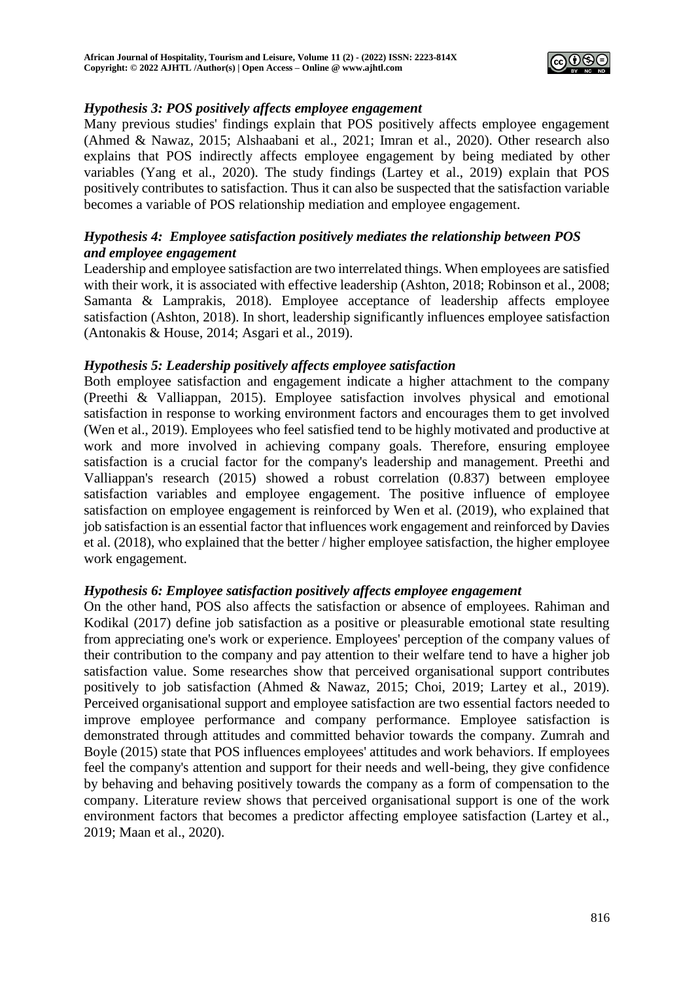

# *Hypothesis 3: POS positively affects employee engagement*

Many previous studies' findings explain that POS positively affects employee engagement (Ahmed & Nawaz, 2015; Alshaabani et al., 2021; Imran et al., 2020). Other research also explains that POS indirectly affects employee engagement by being mediated by other variables (Yang et al., 2020). The study findings (Lartey et al., 2019) explain that POS positively contributes to satisfaction. Thus it can also be suspected that the satisfaction variable becomes a variable of POS relationship mediation and employee engagement.

# *Hypothesis 4: Employee satisfaction positively mediates the relationship between POS and employee engagement*

Leadership and employee satisfaction are two interrelated things. When employees are satisfied with their work, it is associated with effective leadership (Ashton, 2018; Robinson et al., 2008; Samanta & Lamprakis, 2018). Employee acceptance of leadership affects employee satisfaction (Ashton, 2018). In short, leadership significantly influences employee satisfaction (Antonakis & House, 2014; Asgari et al., 2019).

### *Hypothesis 5: Leadership positively affects employee satisfaction*

Both employee satisfaction and engagement indicate a higher attachment to the company (Preethi & Valliappan, 2015). Employee satisfaction involves physical and emotional satisfaction in response to working environment factors and encourages them to get involved (Wen et al., 2019). Employees who feel satisfied tend to be highly motivated and productive at work and more involved in achieving company goals. Therefore, ensuring employee satisfaction is a crucial factor for the company's leadership and management. Preethi and Valliappan's research (2015) showed a robust correlation (0.837) between employee satisfaction variables and employee engagement. The positive influence of employee satisfaction on employee engagement is reinforced by Wen et al. (2019), who explained that job satisfaction is an essential factor that influences work engagement and reinforced by Davies et al. (2018), who explained that the better / higher employee satisfaction, the higher employee work engagement.

### *Hypothesis 6: Employee satisfaction positively affects employee engagement*

On the other hand, POS also affects the satisfaction or absence of employees. Rahiman and Kodikal (2017) define job satisfaction as a positive or pleasurable emotional state resulting from appreciating one's work or experience. Employees' perception of the company values of their contribution to the company and pay attention to their welfare tend to have a higher job satisfaction value. Some researches show that perceived organisational support contributes positively to job satisfaction (Ahmed & Nawaz, 2015; Choi, 2019; Lartey et al., 2019). Perceived organisational support and employee satisfaction are two essential factors needed to improve employee performance and company performance. Employee satisfaction is demonstrated through attitudes and committed behavior towards the company. Zumrah and Boyle (2015) state that POS influences employees' attitudes and work behaviors. If employees feel the company's attention and support for their needs and well-being, they give confidence by behaving and behaving positively towards the company as a form of compensation to the company. Literature review shows that perceived organisational support is one of the work environment factors that becomes a predictor affecting employee satisfaction (Lartey et al., 2019; Maan et al., 2020).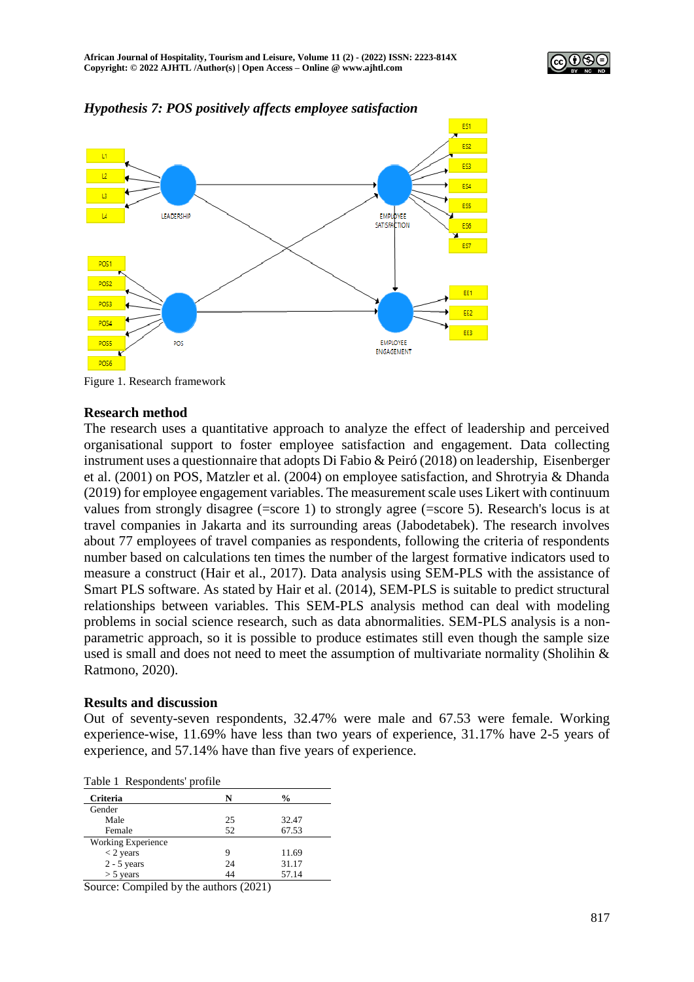



### *Hypothesis 7: POS positively affects employee satisfaction*

Figure 1. Research framework

#### **Research method**

The research uses a quantitative approach to analyze the effect of leadership and perceived organisational support to foster employee satisfaction and engagement. Data collecting instrument uses a questionnaire that adopts Di Fabio & Peiró (2018) on leadership, Eisenberger et al. (2001) on POS, Matzler et al. (2004) on employee satisfaction, and Shrotryia & Dhanda (2019) for employee engagement variables. The measurement scale uses Likert with continuum values from strongly disagree (=score 1) to strongly agree (=score 5). Research's locus is at travel companies in Jakarta and its surrounding areas (Jabodetabek). The research involves about 77 employees of travel companies as respondents, following the criteria of respondents number based on calculations ten times the number of the largest formative indicators used to measure a construct (Hair et al., 2017). Data analysis using SEM-PLS with the assistance of Smart PLS software. As stated by Hair et al. (2014), SEM-PLS is suitable to predict structural relationships between variables. This SEM-PLS analysis method can deal with modeling problems in social science research, such as data abnormalities. SEM-PLS analysis is a nonparametric approach, so it is possible to produce estimates still even though the sample size used is small and does not need to meet the assumption of multivariate normality (Sholihin & Ratmono, 2020).

#### **Results and discussion**

Out of seventy-seven respondents, 32.47% were male and 67.53 were female. Working experience-wise, 11.69% have less than two years of experience, 31.17% have 2-5 years of experience, and 57.14% have than five years of experience.

| <b>Criteria</b>    | N  | $\frac{0}{0}$ |
|--------------------|----|---------------|
| Gender             |    |               |
| Male               | 25 | 32.47         |
| Female             | 52 | 67.53         |
| Working Experience |    |               |
| $<$ 2 years        | 9  | 11.69         |
| $2 - 5$ years      | 24 | 31.17         |
| $>$ 5 years        | 44 | 57.14         |

Table 1 Respondents' profile

Source: Compiled by the authors (2021)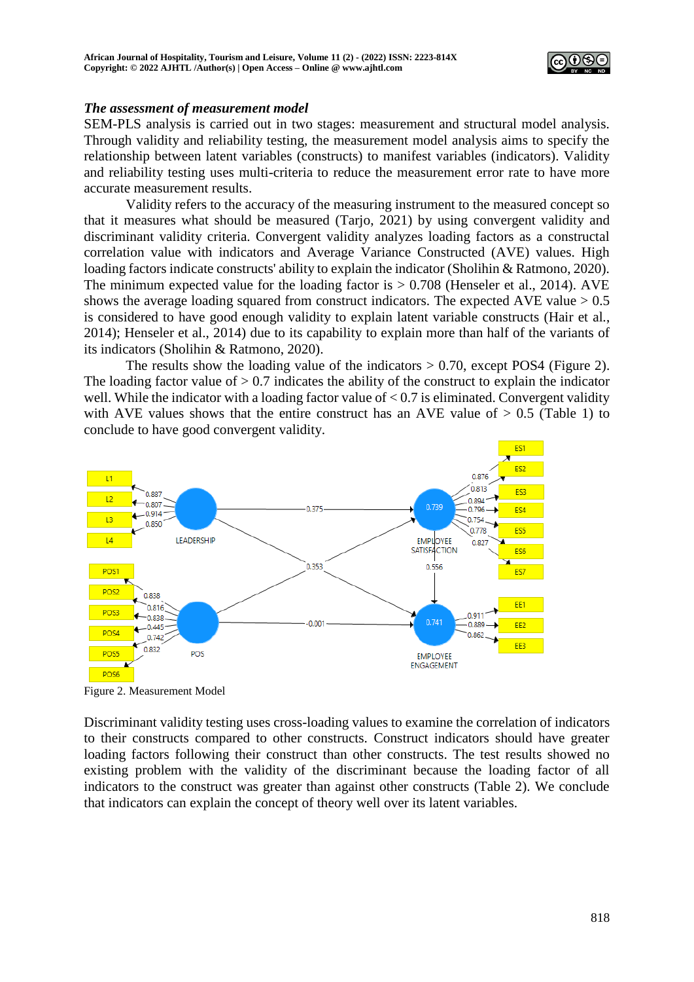

### *The assessment of measurement model*

SEM-PLS analysis is carried out in two stages: measurement and structural model analysis. Through validity and reliability testing, the measurement model analysis aims to specify the relationship between latent variables (constructs) to manifest variables (indicators). Validity and reliability testing uses multi-criteria to reduce the measurement error rate to have more accurate measurement results.

Validity refers to the accuracy of the measuring instrument to the measured concept so that it measures what should be measured (Tarjo, 2021) by using convergent validity and discriminant validity criteria. Convergent validity analyzes loading factors as a constructal correlation value with indicators and Average Variance Constructed (AVE) values. High loading factors indicate constructs' ability to explain the indicator (Sholihin & Ratmono, 2020). The minimum expected value for the loading factor is  $> 0.708$  (Henseler et al., 2014). AVE shows the average loading squared from construct indicators. The expected AVE value  $> 0.5$ is considered to have good enough validity to explain latent variable constructs (Hair et al*.*, 2014); Henseler et al., 2014) due to its capability to explain more than half of the variants of its indicators (Sholihin & Ratmono, 2020).

The results show the loading value of the indicators  $> 0.70$ , except POS4 (Figure 2). The loading factor value of  $> 0.7$  indicates the ability of the construct to explain the indicator well. While the indicator with a loading factor value of  $< 0.7$  is eliminated. Convergent validity with AVE values shows that the entire construct has an AVE value of  $> 0.5$  (Table 1) to conclude to have good convergent validity.



Figure 2. Measurement Model

Discriminant validity testing uses cross-loading values to examine the correlation of indicators to their constructs compared to other constructs. Construct indicators should have greater loading factors following their construct than other constructs. The test results showed no existing problem with the validity of the discriminant because the loading factor of all indicators to the construct was greater than against other constructs (Table 2). We conclude that indicators can explain the concept of theory well over its latent variables.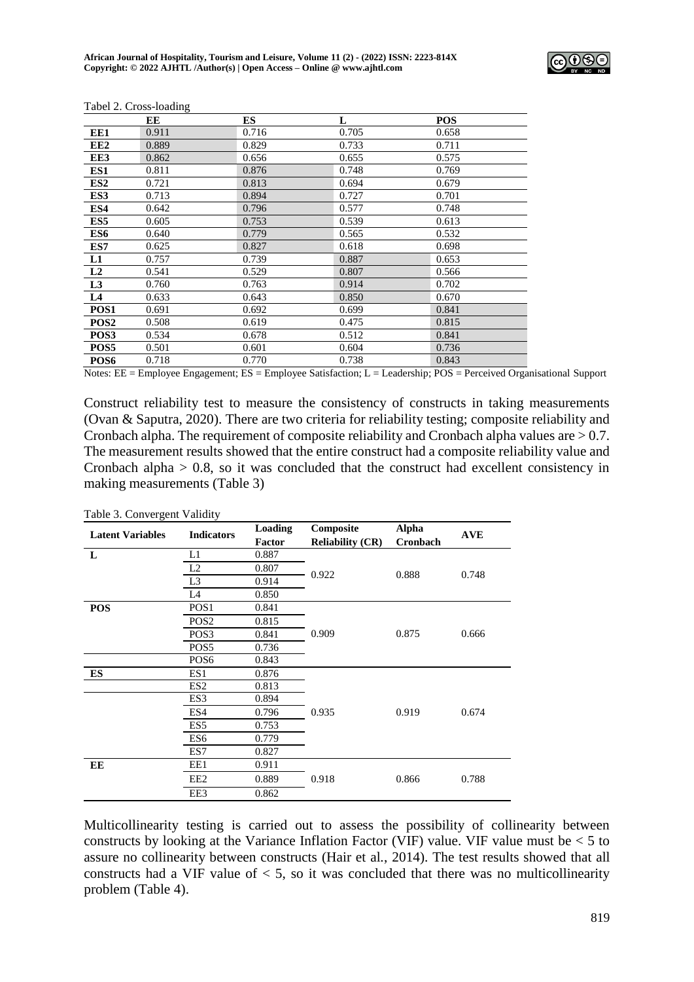

|                  | $\circ$<br>EE | <b>ES</b> | L     | <b>POS</b> |
|------------------|---------------|-----------|-------|------------|
|                  |               |           |       |            |
| EE1              | 0.911         | 0.716     | 0.705 | 0.658      |
| EE <sub>2</sub>  | 0.889         | 0.829     | 0.733 | 0.711      |
| EE3              | 0.862         | 0.656     | 0.655 | 0.575      |
| ES1              | 0.811         | 0.876     | 0.748 | 0.769      |
| ES <sub>2</sub>  | 0.721         | 0.813     | 0.694 | 0.679      |
| ES3              | 0.713         | 0.894     | 0.727 | 0.701      |
| ES4              | 0.642         | 0.796     | 0.577 | 0.748      |
| ES <sub>5</sub>  | 0.605         | 0.753     | 0.539 | 0.613      |
| ES6              | 0.640         | 0.779     | 0.565 | 0.532      |
| ES7              | 0.625         | 0.827     | 0.618 | 0.698      |
| L1               | 0.757         | 0.739     | 0.887 | 0.653      |
| L2               | 0.541         | 0.529     | 0.807 | 0.566      |
| L <sub>3</sub>   | 0.760         | 0.763     | 0.914 | 0.702      |
| L4               | 0.633         | 0.643     | 0.850 | 0.670      |
| POS1             | 0.691         | 0.692     | 0.699 | 0.841      |
| POS <sub>2</sub> | 0.508         | 0.619     | 0.475 | 0.815      |
| POS3             | 0.534         | 0.678     | 0.512 | 0.841      |
| POS5             | 0.501         | 0.601     | 0.604 | 0.736      |
| POS <sub>6</sub> | 0.718         | 0.770     | 0.738 | 0.843      |

Tabel 2. Cross-loading

Notes: EE = Employee Engagement; ES = Employee Satisfaction; L = Leadership; POS = Perceived Organisational Support

Construct reliability test to measure the consistency of constructs in taking measurements (Ovan & Saputra, 2020). There are two criteria for reliability testing; composite reliability and Cronbach alpha. The requirement of composite reliability and Cronbach alpha values are > 0.7. The measurement results showed that the entire construct had a composite reliability value and Cronbach alpha > 0.8, so it was concluded that the construct had excellent consistency in making measurements (Table 3)

| Table 3. Convergent Validity |  |
|------------------------------|--|
|------------------------------|--|

| <b>Latent Variables</b> | <b>Indicators</b> | Loading       | Composite               | <b>Alpha</b> | <b>AVE</b> |
|-------------------------|-------------------|---------------|-------------------------|--------------|------------|
|                         |                   | <b>Factor</b> | <b>Reliability (CR)</b> | Cronbach     |            |
| L                       | L1                | 0.887         |                         |              |            |
|                         | L2                | 0.807         | 0.922                   | 0.888        | 0.748      |
|                         | L <sub>3</sub>    | 0.914         |                         |              |            |
|                         | L <sub>4</sub>    | 0.850         |                         |              |            |
| <b>POS</b>              | POS <sub>1</sub>  | 0.841         |                         |              |            |
|                         | POS <sub>2</sub>  | 0.815         |                         |              |            |
|                         | POS <sub>3</sub>  | 0.841         | 0.909                   | 0.875        | 0.666      |
|                         | POS <sub>5</sub>  | 0.736         |                         |              |            |
|                         | POS <sub>6</sub>  | 0.843         |                         |              |            |
| ES                      | ES <sub>1</sub>   | 0.876         |                         |              |            |
|                         | ES <sub>2</sub>   | 0.813         |                         |              |            |
|                         | ES3               | 0.894         |                         |              |            |
|                         | ES <sub>4</sub>   | 0.796         | 0.935                   | 0.919        | 0.674      |
|                         | ES <sub>5</sub>   | 0.753         |                         |              |            |
|                         | ES6               | 0.779         |                         |              |            |
|                         | ES7               | 0.827         |                         |              |            |
| EE                      | EE1               | 0.911         |                         |              |            |
|                         | EE <sub>2</sub>   | 0.889         | 0.918                   | 0.866        | 0.788      |
|                         | EE3               | 0.862         |                         |              |            |

Multicollinearity testing is carried out to assess the possibility of collinearity between constructs by looking at the Variance Inflation Factor (VIF) value. VIF value must be  $<$  5 to assure no collinearity between constructs (Hair et al*.*, 2014). The test results showed that all constructs had a VIF value of  $< 5$ , so it was concluded that there was no multicollinearity problem (Table 4).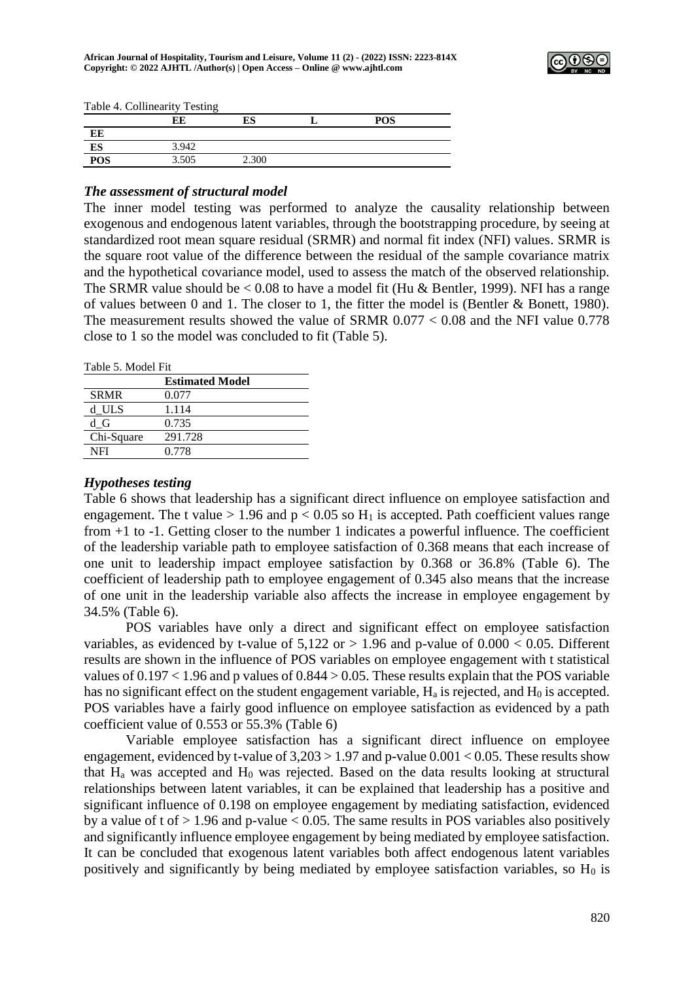

Table 4. Collinearity Testing

|            | EЕ    | ES  | <b>POS</b> |  |
|------------|-------|-----|------------|--|
| EE         |       |     |            |  |
| ES         | , 942 |     |            |  |
| <b>POS</b> | 3.505 | 300 |            |  |

### *The assessment of structural model*

The inner model testing was performed to analyze the causality relationship between exogenous and endogenous latent variables, through the bootstrapping procedure, by seeing at standardized root mean square residual (SRMR) and normal fit index (NFI) values. SRMR is the square root value of the difference between the residual of the sample covariance matrix and the hypothetical covariance model, used to assess the match of the observed relationship. The SRMR value should be  $< 0.08$  to have a model fit (Hu & Bentler, 1999). NFI has a range of values between 0 and 1. The closer to 1, the fitter the model is (Bentler  $\&$  Bonett, 1980). The measurement results showed the value of SRMR  $0.077 < 0.08$  and the NFI value 0.778 close to 1 so the model was concluded to fit (Table 5).

Table 5. Model Fit

|             | <b>Estimated Model</b> |
|-------------|------------------------|
| <b>SRMR</b> | 0.077                  |
| $d$ _ULS    | 1.114                  |
| d G         | 0.735                  |
| Chi-Square  | 291.728                |
| NFI         | 0.778                  |
|             |                        |

### *Hypotheses testing*

Table 6 shows that leadership has a significant direct influence on employee satisfaction and engagement. The t value  $> 1.96$  and  $p < 0.05$  so H<sub>1</sub> is accepted. Path coefficient values range from +1 to -1. Getting closer to the number 1 indicates a powerful influence. The coefficient of the leadership variable path to employee satisfaction of 0.368 means that each increase of one unit to leadership impact employee satisfaction by 0.368 or 36.8% (Table 6). The coefficient of leadership path to employee engagement of 0.345 also means that the increase of one unit in the leadership variable also affects the increase in employee engagement by 34.5% (Table 6).

POS variables have only a direct and significant effect on employee satisfaction variables, as evidenced by t-value of  $5,122$  or  $> 1.96$  and p-value of  $0.000 < 0.05$ . Different results are shown in the influence of POS variables on employee engagement with t statistical values of  $0.197 < 1.96$  and p values of  $0.844 > 0.05$ . These results explain that the POS variable has no significant effect on the student engagement variable,  $H_a$  is rejected, and  $H_0$  is accepted. POS variables have a fairly good influence on employee satisfaction as evidenced by a path coefficient value of 0.553 or 55.3% (Table 6)

Variable employee satisfaction has a significant direct influence on employee engagement, evidenced by t-value of  $3,203 > 1.97$  and p-value  $0.001 < 0.05$ . These results show that  $H<sub>a</sub>$  was accepted and  $H<sub>0</sub>$  was rejected. Based on the data results looking at structural relationships between latent variables, it can be explained that leadership has a positive and significant influence of 0.198 on employee engagement by mediating satisfaction, evidenced by a value of t of  $> 1.96$  and p-value  $< 0.05$ . The same results in POS variables also positively and significantly influence employee engagement by being mediated by employee satisfaction. It can be concluded that exogenous latent variables both affect endogenous latent variables positively and significantly by being mediated by employee satisfaction variables, so  $H_0$  is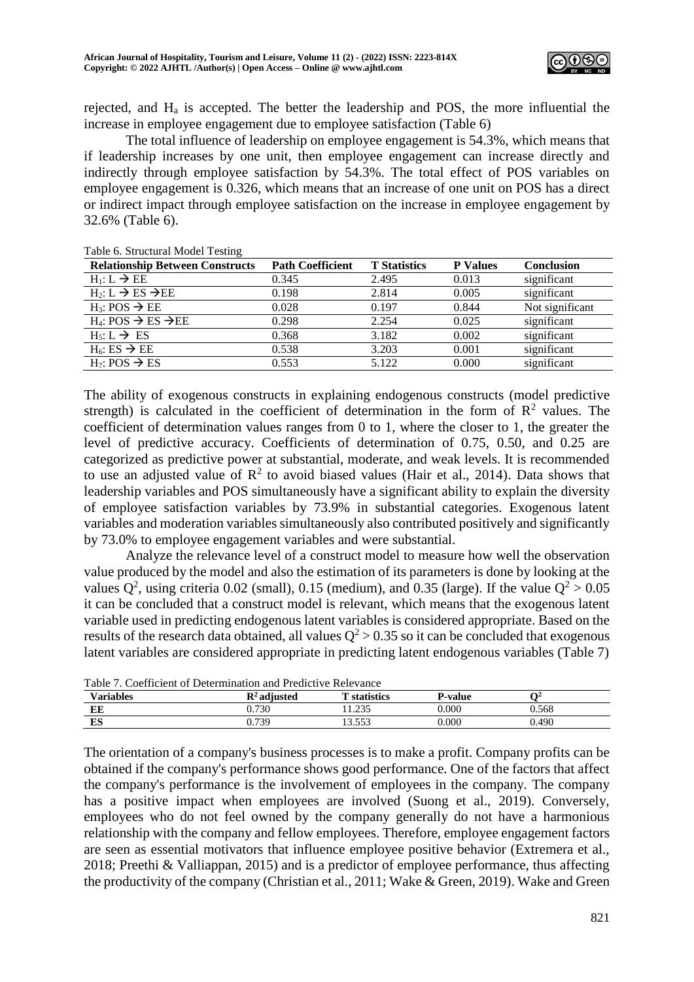

rejected, and H<sup>a</sup> is accepted. The better the leadership and POS, the more influential the increase in employee engagement due to employee satisfaction (Table 6)

The total influence of leadership on employee engagement is 54.3%, which means that if leadership increases by one unit, then employee engagement can increase directly and indirectly through employee satisfaction by 54.3%. The total effect of POS variables on employee engagement is 0.326, which means that an increase of one unit on POS has a direct or indirect impact through employee satisfaction on the increase in employee engagement by 32.6% (Table 6).

| <b>Relationship Between Constructs</b>        | <b>Path Coefficient</b> | <b>T</b> Statistics | <b>P</b> Values | <b>Conclusion</b> |
|-----------------------------------------------|-------------------------|---------------------|-----------------|-------------------|
| $H_1: L \rightarrow EE$                       | 0.345                   | 2.495               | 0.013           | significant       |
| $H_2: L \rightarrow ES \rightarrow EE$        | 0.198                   | 2.814               | 0.005           | significant       |
| $H_3$ : POS $\rightarrow$ EE                  | 0.028                   | 0.197               | 0.844           | Not significant   |
| $H_4$ : POS $\rightarrow$ ES $\rightarrow$ EE | 0.298                   | 2.254               | 0.025           | significant       |
| $H_5: L \rightarrow ES$                       | 0.368                   | 3.182               | 0.002           | significant       |
| $H_6: ES \rightarrow EE$                      | 0.538                   | 3.203               | 0.001           | significant       |
| $H_7: POS \rightarrow ES$                     | 0.553                   | 5.122               | 0.000           | significant       |

Table 6. Structural Model Testing

The ability of exogenous constructs in explaining endogenous constructs (model predictive strength) is calculated in the coefficient of determination in the form of  $\mathbb{R}^2$  values. The coefficient of determination values ranges from 0 to 1, where the closer to 1, the greater the level of predictive accuracy. Coefficients of determination of 0.75, 0.50, and 0.25 are categorized as predictive power at substantial, moderate, and weak levels. It is recommended to use an adjusted value of  $\mathbb{R}^2$  to avoid biased values (Hair et al., 2014). Data shows that leadership variables and POS simultaneously have a significant ability to explain the diversity of employee satisfaction variables by 73.9% in substantial categories. Exogenous latent variables and moderation variables simultaneously also contributed positively and significantly by 73.0% to employee engagement variables and were substantial.

Analyze the relevance level of a construct model to measure how well the observation value produced by the model and also the estimation of its parameters is done by looking at the values  $Q^2$ , using criteria 0.02 (small), 0.15 (medium), and 0.35 (large). If the value  $Q^2 > 0.05$ it can be concluded that a construct model is relevant, which means that the exogenous latent variable used in predicting endogenous latent variables is considered appropriate. Based on the results of the research data obtained, all values  $Q^2 > 0.35$  so it can be concluded that exogenous latent variables are considered appropriate in predicting latent endogenous variables (Table 7)

| i anie-<br>oetticient of Determination and Predictive Relevance |                         |                     |         |       |  |  |
|-----------------------------------------------------------------|-------------------------|---------------------|---------|-------|--|--|
| <b>Variables</b>                                                | $\mathbb{R}^2$ adjusted | <b>T</b> statistics | P-value |       |  |  |
| ЕE                                                              | 9.730                   | 1.235               | 0.000   | 0.568 |  |  |
| mа<br>LJ                                                        | .739                    | 3.553               | 0.000   | 0.490 |  |  |

Table 7. Coefficient of Determination and Predictive Relevance

The orientation of a company's business processes is to make a profit. Company profits can be obtained if the company's performance shows good performance. One of the factors that affect the company's performance is the involvement of employees in the company. The company has a positive impact when employees are involved (Suong et al., 2019). Conversely, employees who do not feel owned by the company generally do not have a harmonious relationship with the company and fellow employees. Therefore, employee engagement factors are seen as essential motivators that influence employee positive behavior (Extremera et al., 2018; Preethi & Valliappan, 2015) and is a predictor of employee performance, thus affecting the productivity of the company (Christian et al., 2011; Wake & Green, 2019). Wake and Green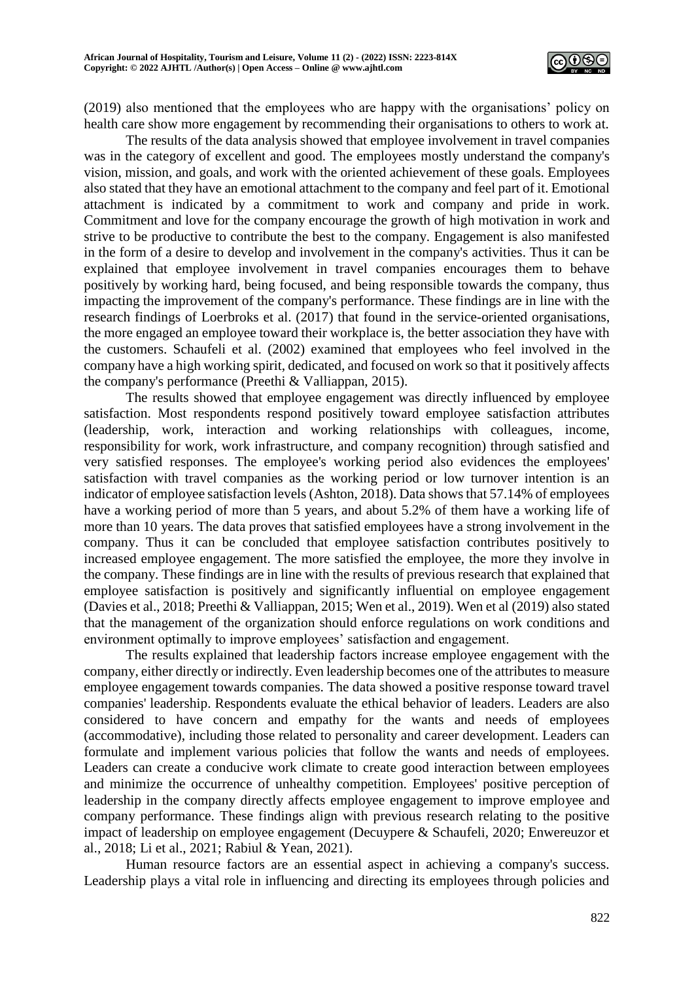

(2019) also mentioned that the employees who are happy with the organisations' policy on health care show more engagement by recommending their organisations to others to work at.

The results of the data analysis showed that employee involvement in travel companies was in the category of excellent and good. The employees mostly understand the company's vision, mission, and goals, and work with the oriented achievement of these goals. Employees also stated that they have an emotional attachment to the company and feel part of it. Emotional attachment is indicated by a commitment to work and company and pride in work. Commitment and love for the company encourage the growth of high motivation in work and strive to be productive to contribute the best to the company. Engagement is also manifested in the form of a desire to develop and involvement in the company's activities. Thus it can be explained that employee involvement in travel companies encourages them to behave positively by working hard, being focused, and being responsible towards the company, thus impacting the improvement of the company's performance. These findings are in line with the research findings of Loerbroks et al. (2017) that found in the service-oriented organisations, the more engaged an employee toward their workplace is, the better association they have with the customers. Schaufeli et al. (2002) examined that employees who feel involved in the company have a high working spirit, dedicated, and focused on work so that it positively affects the company's performance (Preethi & Valliappan, 2015).

The results showed that employee engagement was directly influenced by employee satisfaction. Most respondents respond positively toward employee satisfaction attributes (leadership, work, interaction and working relationships with colleagues, income, responsibility for work, work infrastructure, and company recognition) through satisfied and very satisfied responses. The employee's working period also evidences the employees' satisfaction with travel companies as the working period or low turnover intention is an indicator of employee satisfaction levels (Ashton, 2018). Data shows that 57.14% of employees have a working period of more than 5 years, and about 5.2% of them have a working life of more than 10 years. The data proves that satisfied employees have a strong involvement in the company. Thus it can be concluded that employee satisfaction contributes positively to increased employee engagement. The more satisfied the employee, the more they involve in the company. These findings are in line with the results of previous research that explained that employee satisfaction is positively and significantly influential on employee engagement (Davies et al., 2018; Preethi & Valliappan, 2015; Wen et al., 2019). Wen et al (2019) also stated that the management of the organization should enforce regulations on work conditions and environment optimally to improve employees' satisfaction and engagement.

The results explained that leadership factors increase employee engagement with the company, either directly or indirectly. Even leadership becomes one of the attributes to measure employee engagement towards companies. The data showed a positive response toward travel companies' leadership. Respondents evaluate the ethical behavior of leaders. Leaders are also considered to have concern and empathy for the wants and needs of employees (accommodative), including those related to personality and career development. Leaders can formulate and implement various policies that follow the wants and needs of employees. Leaders can create a conducive work climate to create good interaction between employees and minimize the occurrence of unhealthy competition. Employees' positive perception of leadership in the company directly affects employee engagement to improve employee and company performance. These findings align with previous research relating to the positive impact of leadership on employee engagement (Decuypere & Schaufeli, 2020; Enwereuzor et al., 2018; Li et al., 2021; Rabiul & Yean, 2021).

Human resource factors are an essential aspect in achieving a company's success. Leadership plays a vital role in influencing and directing its employees through policies and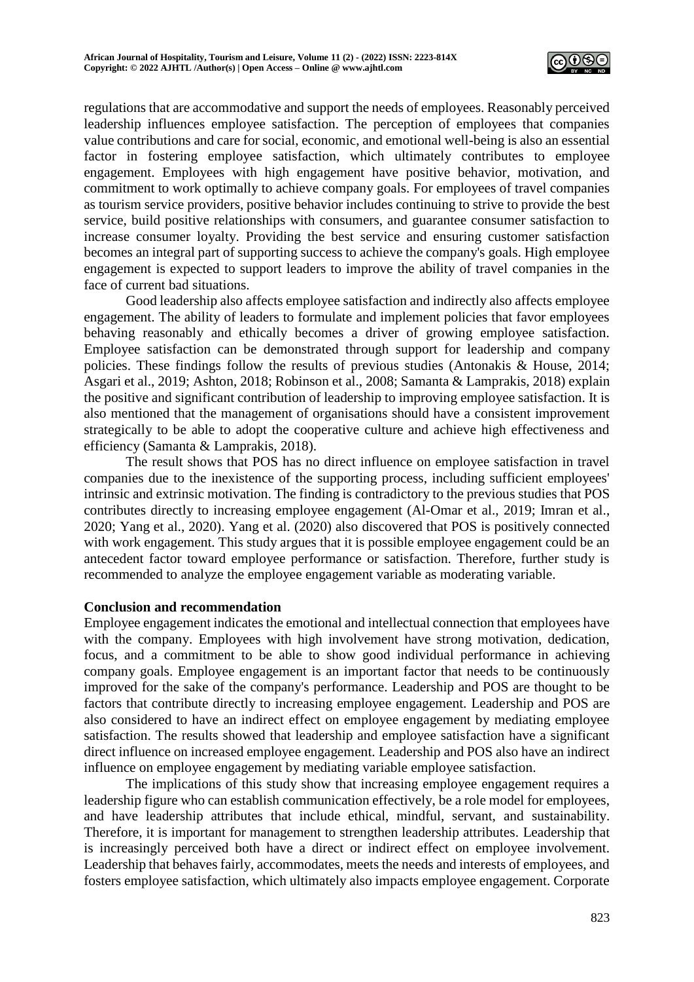

regulations that are accommodative and support the needs of employees. Reasonably perceived leadership influences employee satisfaction. The perception of employees that companies value contributions and care for social, economic, and emotional well-being is also an essential factor in fostering employee satisfaction, which ultimately contributes to employee engagement. Employees with high engagement have positive behavior, motivation, and commitment to work optimally to achieve company goals. For employees of travel companies as tourism service providers, positive behavior includes continuing to strive to provide the best service, build positive relationships with consumers, and guarantee consumer satisfaction to increase consumer loyalty. Providing the best service and ensuring customer satisfaction becomes an integral part of supporting success to achieve the company's goals. High employee engagement is expected to support leaders to improve the ability of travel companies in the face of current bad situations.

Good leadership also affects employee satisfaction and indirectly also affects employee engagement. The ability of leaders to formulate and implement policies that favor employees behaving reasonably and ethically becomes a driver of growing employee satisfaction. Employee satisfaction can be demonstrated through support for leadership and company policies. These findings follow the results of previous studies (Antonakis & House, 2014; Asgari et al., 2019; Ashton, 2018; Robinson et al., 2008; Samanta & Lamprakis, 2018) explain the positive and significant contribution of leadership to improving employee satisfaction. It is also mentioned that the management of organisations should have a consistent improvement strategically to be able to adopt the cooperative culture and achieve high effectiveness and efficiency (Samanta & Lamprakis, 2018).

The result shows that POS has no direct influence on employee satisfaction in travel companies due to the inexistence of the supporting process, including sufficient employees' intrinsic and extrinsic motivation. The finding is contradictory to the previous studies that POS contributes directly to increasing employee engagement (Al-Omar et al., 2019; Imran et al., 2020; Yang et al., 2020). Yang et al. (2020) also discovered that POS is positively connected with work engagement. This study argues that it is possible employee engagement could be an antecedent factor toward employee performance or satisfaction. Therefore, further study is recommended to analyze the employee engagement variable as moderating variable.

### **Conclusion and recommendation**

Employee engagement indicates the emotional and intellectual connection that employees have with the company. Employees with high involvement have strong motivation, dedication, focus, and a commitment to be able to show good individual performance in achieving company goals. Employee engagement is an important factor that needs to be continuously improved for the sake of the company's performance. Leadership and POS are thought to be factors that contribute directly to increasing employee engagement. Leadership and POS are also considered to have an indirect effect on employee engagement by mediating employee satisfaction. The results showed that leadership and employee satisfaction have a significant direct influence on increased employee engagement. Leadership and POS also have an indirect influence on employee engagement by mediating variable employee satisfaction.

The implications of this study show that increasing employee engagement requires a leadership figure who can establish communication effectively, be a role model for employees, and have leadership attributes that include ethical, mindful, servant, and sustainability. Therefore, it is important for management to strengthen leadership attributes. Leadership that is increasingly perceived both have a direct or indirect effect on employee involvement. Leadership that behaves fairly, accommodates, meets the needs and interests of employees, and fosters employee satisfaction, which ultimately also impacts employee engagement. Corporate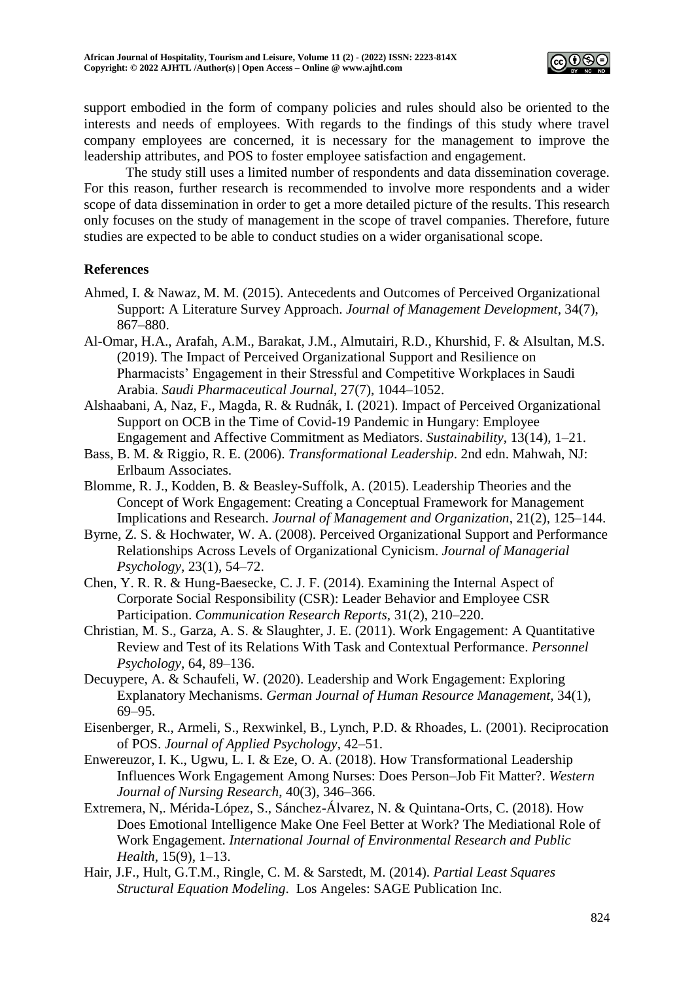

support embodied in the form of company policies and rules should also be oriented to the interests and needs of employees. With regards to the findings of this study where travel company employees are concerned, it is necessary for the management to improve the leadership attributes, and POS to foster employee satisfaction and engagement.

The study still uses a limited number of respondents and data dissemination coverage. For this reason, further research is recommended to involve more respondents and a wider scope of data dissemination in order to get a more detailed picture of the results. This research only focuses on the study of management in the scope of travel companies. Therefore, future studies are expected to be able to conduct studies on a wider organisational scope.

# **References**

- Ahmed, I. & Nawaz, M. M. (2015). Antecedents and Outcomes of Perceived Organizational Support: A Literature Survey Approach. *Journal of Management Development*, 34(7), 867–880.
- Al-Omar, H.A., Arafah, A.M., Barakat, J.M., Almutairi, R.D., Khurshid, F. & Alsultan, M.S. (2019). The Impact of Perceived Organizational Support and Resilience on Pharmacists' Engagement in their Stressful and Competitive Workplaces in Saudi Arabia. *Saudi Pharmaceutical Journal*, 27(7), 1044–1052.
- Alshaabani, A, Naz, F., Magda, R. & Rudnák, I. (2021). Impact of Perceived Organizational Support on OCB in the Time of Covid-19 Pandemic in Hungary: Employee Engagement and Affective Commitment as Mediators. *Sustainability*, 13(14), 1–21.
- Bass, B. M. & Riggio, R. E. (2006). *Transformational Leadership*. 2nd edn. Mahwah, NJ: Erlbaum Associates.
- Blomme, R. J., Kodden, B. & Beasley-Suffolk, A. (2015). Leadership Theories and the Concept of Work Engagement: Creating a Conceptual Framework for Management Implications and Research. *Journal of Management and Organization*, 21(2), 125–144.
- Byrne, Z. S. & Hochwater, W. A. (2008). Perceived Organizational Support and Performance Relationships Across Levels of Organizational Cynicism. *Journal of Managerial Psychology*, 23(1), 54–72.
- Chen, Y. R. R. & Hung-Baesecke, C. J. F. (2014). Examining the Internal Aspect of Corporate Social Responsibility (CSR): Leader Behavior and Employee CSR Participation. *Communication Research Reports*, 31(2), 210–220.
- Christian, M. S., Garza, A. S. & Slaughter, J. E. (2011). Work Engagement: A Quantitative Review and Test of its Relations With Task and Contextual Performance. *Personnel Psychology*, 64, 89–136.
- Decuypere, A. & Schaufeli, W. (2020). Leadership and Work Engagement: Exploring Explanatory Mechanisms. *German Journal of Human Resource Management*, 34(1), 69–95.
- Eisenberger, R., Armeli, S., Rexwinkel, B., Lynch, P.D. & Rhoades, L*.* (2001). Reciprocation of POS. *Journal of Applied Psychology*, 42–51.
- Enwereuzor, I. K., Ugwu, L. I. & Eze, O. A. (2018). How Transformational Leadership Influences Work Engagement Among Nurses: Does Person–Job Fit Matter?. *Western Journal of Nursing Research*, 40(3), 346–366.
- Extremera, N,. Mérida-López, S., Sánchez-Álvarez, N. & Quintana-Orts, C. (2018). How Does Emotional Intelligence Make One Feel Better at Work? The Mediational Role of Work Engagement. *International Journal of Environmental Research and Public Health*, 15(9), 1–13.
- Hair, J.F., Hult, G.T.M., Ringle, C. M. & Sarstedt, M. (2014). *Partial Least Squares Structural Equation Modeling*. Los Angeles: SAGE Publication Inc.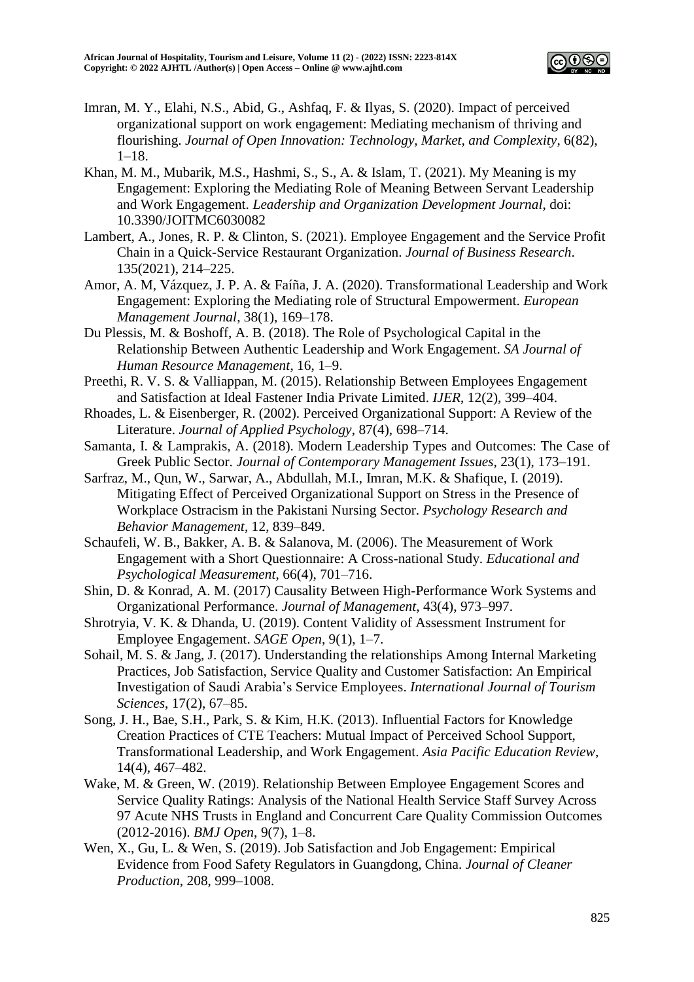

- Imran, M. Y., Elahi, N.S., Abid, G., Ashfaq, F. & Ilyas, S*.* (2020). Impact of perceived organizational support on work engagement: Mediating mechanism of thriving and flourishing. *Journal of Open Innovation: Technology, Market, and Complexity*, 6(82),  $1-18.$
- Khan, M. M., Mubarik, M.S., Hashmi, S., S., A. & Islam, T. (2021). My Meaning is my Engagement: Exploring the Mediating Role of Meaning Between Servant Leadership and Work Engagement. *Leadership and Organization Development Journal*, doi: 10.3390/JOITMC6030082
- Lambert, A., Jones, R. P. & Clinton, S. (2021). Employee Engagement and the Service Profit Chain in a Quick-Service Restaurant Organization. *Journal of Business Research*. 135(2021), 214–225.
- Amor, A. M, Vázquez, J. P. A. & Faíña, J. A. (2020). Transformational Leadership and Work Engagement: Exploring the Mediating role of Structural Empowerment. *European Management Journal*, 38(1), 169–178.
- Du Plessis, M. & Boshoff, A. B. (2018). The Role of Psychological Capital in the Relationship Between Authentic Leadership and Work Engagement. *SA Journal of Human Resource Management*, 16, 1–9.
- Preethi, R. V. S. & Valliappan, M. (2015). Relationship Between Employees Engagement and Satisfaction at Ideal Fastener India Private Limited. *IJER*, 12(2), 399–404.
- Rhoades, L. & Eisenberger, R. (2002). Perceived Organizational Support: A Review of the Literature. *Journal of Applied Psychology*, 87(4), 698–714.
- Samanta, I. & Lamprakis, A. (2018). Modern Leadership Types and Outcomes: The Case of Greek Public Sector. *Journal of Contemporary Management Issues*, 23(1), 173–191.
- Sarfraz, M., Qun, W., Sarwar, A., Abdullah, M.I., Imran, M.K. & Shafique, I*.* (2019). Mitigating Effect of Perceived Organizational Support on Stress in the Presence of Workplace Ostracism in the Pakistani Nursing Sector. *Psychology Research and Behavior Management*, 12, 839–849.
- Schaufeli, W. B., Bakker, A. B. & Salanova, M. (2006). The Measurement of Work Engagement with a Short Questionnaire: A Cross-national Study. *Educational and Psychological Measurement*, 66(4), 701–716.
- Shin, D. & Konrad, A. M. (2017) Causality Between High-Performance Work Systems and Organizational Performance. *Journal of Management*, 43(4), 973–997.
- Shrotryia, V. K. & Dhanda, U. (2019). Content Validity of Assessment Instrument for Employee Engagement. *SAGE Open*, 9(1), 1–7.
- Sohail, M. S. & Jang, J. (2017). Understanding the relationships Among Internal Marketing Practices, Job Satisfaction, Service Quality and Customer Satisfaction: An Empirical Investigation of Saudi Arabia's Service Employees. *International Journal of Tourism Sciences*, 17(2), 67–85.
- Song, J. H., Bae, S.H., Park, S. & Kim, H.K*.* (2013). Influential Factors for Knowledge Creation Practices of CTE Teachers: Mutual Impact of Perceived School Support, Transformational Leadership, and Work Engagement. *Asia Pacific Education Review*, 14(4), 467–482.
- Wake, M. & Green, W. (2019). Relationship Between Employee Engagement Scores and Service Quality Ratings: Analysis of the National Health Service Staff Survey Across 97 Acute NHS Trusts in England and Concurrent Care Quality Commission Outcomes (2012-2016). *BMJ Open*, 9(7), 1–8.
- Wen, X., Gu, L. & Wen, S. (2019). Job Satisfaction and Job Engagement: Empirical Evidence from Food Safety Regulators in Guangdong, China. *Journal of Cleaner Production*, 208, 999–1008.